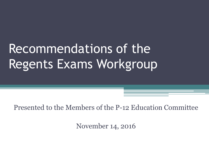## Recommendations of the Regents Exams Workgroup

Presented to the Members of the P-12 Education Committee

November 14, 2016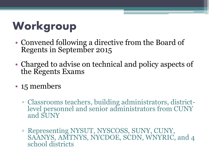## **Workgroup**

- Convened following a directive from the Board of Regents in September 2015
- Charged to advise on technical and policy aspects of the Regents Exams
- 15 members
	- Classrooms teachers, building administrators, districtlevel personnel and senior administrators from CUNY and SUNY
	- Representing NYSUT, NYSCOSS, SUNY, CUNY, SAANYS, AMTNYS, NYCDOE, SCDN, WNYRIC, and 4 school districts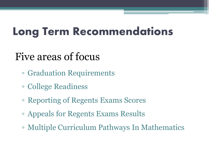## **Long Term Recommendations**

### Five areas of focus

- Graduation Requirements
- College Readiness
- Reporting of Regents Exams Scores
- Appeals for Regents Exams Results
- Multiple Curriculum Pathways In Mathematics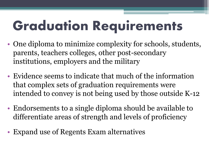# **Graduation Requirements**

- One diploma to minimize complexity for schools, students, parents, teachers colleges, other post-secondary institutions, employers and the military
- Evidence seems to indicate that much of the information that complex sets of graduation requirements were intended to convey is not being used by those outside K-12
- Endorsements to a single diploma should be available to differentiate areas of strength and levels of proficiency
- Expand use of Regents Exam alternatives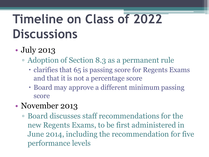## **Timeline on Class of 2022 Discussions**

### • **July 2013**

- Adoption of Section 8.3 as a permanent rule
	- clarifies that 65 is passing score for Regents Exams and that it is not a percentage score
	- Board may approve a different minimum passing score

#### • November 2013

▫ Board discusses staff recommendations for the new Regents Exams, to be first administered in June 2014, including the recommendation for five performance levels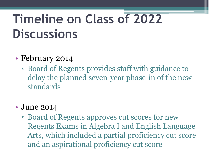## **Timeline on Class of 2022 Discussions**

#### • February 2014

▫ Board of Regents provides staff with guidance to delay the planned seven-year phase-in of the new standards

#### • June 2014

▫ Board of Regents approves cut scores for new Regents Exams in Algebra I and English Language Arts, which included a partial proficiency cut score and an aspirational proficiency cut score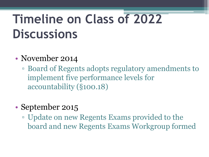## **Timeline on Class of 2022 Discussions**

#### • November 2014

▫ Board of Regents adopts regulatory amendments to implement five performance levels for accountability (§100.18)

#### • September 2015

▫ Update on new Regents Exams provided to the board and new Regents Exams Workgroup formed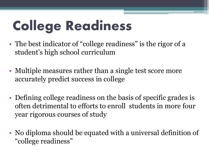# **College Readiness**

- The best indicator of "college readiness" is the rigor of a student's high school curriculum
- Multiple measures rather than a single test score more accurately predict success in college
- Defining college readiness on the basis of specific grades is often detrimental to efforts to enroll students in more four year rigorous courses of study
- No diploma should be equated with a universal definition of "college readiness"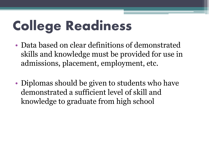# **College Readiness**

- Data based on clear definitions of demonstrated skills and knowledge must be provided for use in admissions, placement, employment, etc.
- Diplomas should be given to students who have demonstrated a sufficient level of skill and knowledge to graduate from high school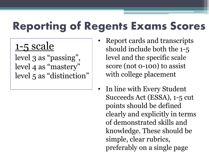### **Reporting of Regents Exams Scores**

### 1-5 scale

level 3 as "passing", level 4 as "mastery" level 5 as "distinction"

- Report cards and transcripts should include both the 1-5 level and the specific scale score (not 0-100) to assist with college placement
- In line with Every Student Succeeds Act (ESSA), 1-5 cut points should be defined clearly and explicitly in terms of demonstrated skills and knowledge. These should be simple, clear rubrics, preferably on a single page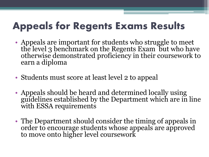### **Appeals for Regents Exams Results**

- Appeals are important for students who struggle to meet the level 3 benchmark on the Regents Exam but who have otherwise demonstrated proficiency in their coursework to earn a diploma
- Students must score at least level 2 to appeal
- Appeals should be heard and determined locally using guidelines established by the Department which are in line with ESSA requirements
- The Department should consider the timing of appeals in order to encourage students whose appeals are approved to move onto higher level coursework